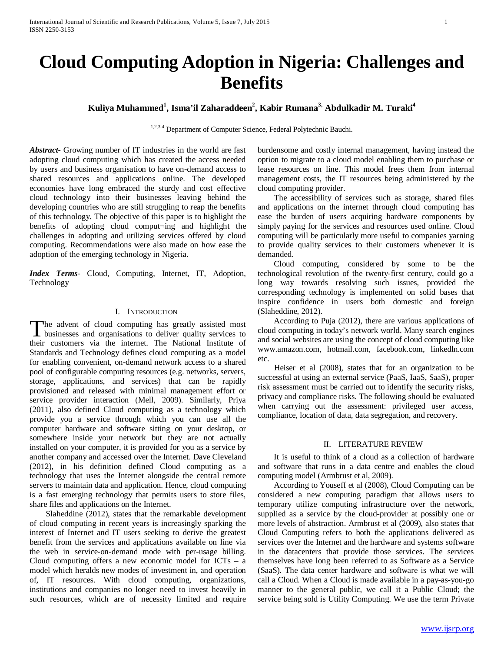$\bold{K}$ uliya Muhammed $^1$ , Isma'il Zaharaddeen $^2$ , Kabir Rumana $^3$ <sup>,</sup> Abdulkadir M. Turaki $^4$ 

<sup>1,2,3,4</sup> Department of Computer Science, Federal Polytechnic Bauchi.

*Abstract***-** Growing number of IT industries in the world are fast adopting cloud computing which has created the access needed by users and business organisation to have on-demand access to shared resources and applications online. The developed economies have long embraced the sturdy and cost effective cloud technology into their businesses leaving behind the developing countries who are still struggling to reap the benefits of this technology. The objective of this paper is to highlight the benefits of adopting cloud comput¬ing and highlight the challenges in adopting and utilizing services offered by cloud computing. Recommendations were also made on how ease the adoption of the emerging technology in Nigeria.

*Index Terms*- Cloud, Computing, Internet, IT, Adoption, Technology

## I. INTRODUCTION

he advent of cloud computing has greatly assisted most The advent of cloud computing has greatly assisted most<br>businesses and organisations to deliver quality services to their customers via the internet. The National Institute of Standards and Technology defines cloud computing as a model for enabling convenient, on-demand network access to a shared pool of configurable computing resources (e.g. networks, servers, storage, applications, and services) that can be rapidly provisioned and released with minimal management effort or service provider interaction (Mell, 2009). Similarly, Priya (2011), also defined Cloud computing as a technology which provide you a service through which you can use all the computer hardware and software sitting on your desktop, or somewhere inside your network but they are not actually installed on your computer, it is provided for you as a service by another company and accessed over the Internet. Dave Cleveland (2012), in his definition defined Cloud computing as a technology that uses the Internet alongside the central remote servers to maintain data and application. Hence, cloud computing is a fast emerging technology that permits users to store files, share files and applications on the Internet.

 Slaheddine (2012), states that the remarkable development of cloud computing in recent years is increasingly sparking the interest of Internet and IT users seeking to derive the greatest benefit from the services and applications available on line via the web in service-on-demand mode with per-usage billing. Cloud computing offers a new economic model for ICTs – a model which heralds new modes of investment in, and operation of, IT resources. With cloud computing, organizations, institutions and companies no longer need to invest heavily in such resources, which are of necessity limited and require burdensome and costly internal management, having instead the option to migrate to a cloud model enabling them to purchase or lease resources on line. This model frees them from internal management costs, the IT resources being administered by the cloud computing provider.

 The accessibility of services such as storage, shared files and applications on the internet through cloud computing has ease the burden of users acquiring hardware components by simply paying for the services and resources used online. Cloud computing will be particularly more useful to companies yarning to provide quality services to their customers whenever it is demanded.

 Cloud computing, considered by some to be the technological revolution of the twenty-first century, could go a long way towards resolving such issues, provided the corresponding technology is implemented on solid bases that inspire confidence in users both domestic and foreign (Slaheddine, 2012).

 According to Puja (2012), there are various applications of cloud computing in today's network world. Many search engines and social websites are using the concept of cloud computing like www.amazon.com, hotmail.com, facebook.com, linkedln.com etc.

 Heiser et al (2008), states that for an organization to be successful at using an external service (PaaS, IaaS, SaaS), proper risk assessment must be carried out to identify the security risks, privacy and compliance risks. The following should be evaluated when carrying out the assessment: privileged user access, compliance, location of data, data segregation, and recovery.

## II. LITERATURE REVIEW

 It is useful to think of a cloud as a collection of hardware and software that runs in a data centre and enables the cloud computing model (Armbrust et al, 2009).

 According to Youseff et al (2008), Cloud Computing can be considered a new computing paradigm that allows users to temporary utilize computing infrastructure over the network, supplied as a service by the cloud-provider at possibly one or more levels of abstraction. Armbrust et al (2009), also states that Cloud Computing refers to both the applications delivered as services over the Internet and the hardware and systems software in the datacenters that provide those services. The services themselves have long been referred to as Software as a Service (SaaS). The data center hardware and software is what we will call a Cloud. When a Cloud is made available in a pay-as-you-go manner to the general public, we call it a Public Cloud; the service being sold is Utility Computing. We use the term Private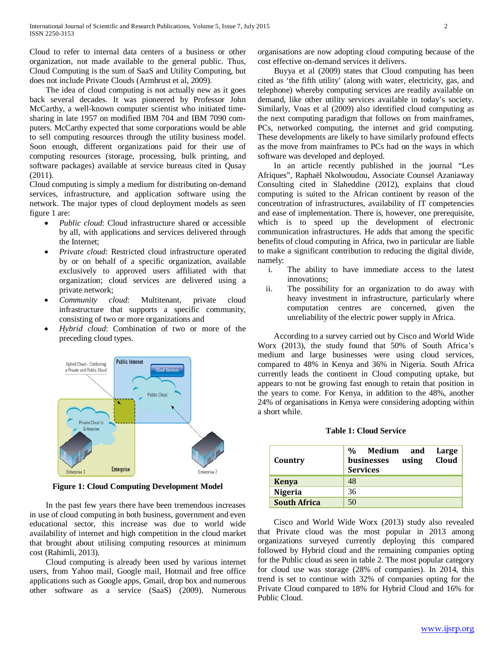Cloud to refer to internal data centers of a business or other organization, not made available to the general public. Thus, Cloud Computing is the sum of SaaS and Utility Computing, but does not include Private Clouds (Armbrust et al, 2009).

 The idea of cloud computing is not actually new as it goes back several decades. It was pioneered by Professor John McCarthy, a well-known computer scientist who initiated timesharing in late 1957 on modified IBM 704 and IBM 7090 computers. McCarthy expected that some corporations would be able to sell computing resources through the utility business model. Soon enough, different organizations paid for their use of computing resources (storage, processing, bulk printing, and software packages) available at service bureaus cited in Qusay (2011).

Cloud computing is simply a medium for distributing on-demand services, infrastructure, and application software using the network. The major types of cloud deployment models as seen figure 1 are:

- *Public cloud*: Cloud infrastructure shared or accessible by all, with applications and services delivered through the Internet;
- *Private cloud*: Restricted cloud infrastructure operated by or on behalf of a specific organization, available exclusively to approved users affiliated with that organization; cloud services are delivered using a private network;
- *Community cloud*: Multitenant, private cloud infrastructure that supports a specific community, consisting of two or more organizations and
- *Hybrid cloud*: Combination of two or more of the preceding cloud types.



**Figure 1: Cloud Computing Development Model**

 In the past few years there have been tremendous increases in use of cloud computing in both business, government and even educational sector, this increase was due to world wide availability of internet and high competition in the cloud market that brought about utilising computing resources at minimum cost (Rahimli, 2013).

 Cloud computing is already been used by various internet users, from Yahoo mail, Google mail, Hotmail and free office applications such as Google apps, Gmail, drop box and numerous other software as a service (SaaS) (2009). Numerous organisations are now adopting cloud computing because of the cost effective on-demand services it delivers.

 Buyya et al (2009) states that Cloud computing has been cited as 'the fifth utility' (along with water, electricity, gas, and telephone) whereby computing services are readily available on demand, like other utility services available in today's society. Similarly, Voas et al (2009) also identified cloud computing as the next computing paradigm that follows on from mainframes, PCs, networked computing, the internet and grid computing. These developments are likely to have similarly profound effects as the move from mainframes to PCs had on the ways in which software was developed and deployed.

 In an article recently published in the journal "Les Afriques", Raphaël Nkolwoudou, Associate Counsel Azaniaway Consulting cited in Slaheddine (2012), explains that cloud computing is suited to the African continent by reason of the concentration of infrastructures, availability of IT competencies and ease of implementation. There is, however, one prerequisite, which is to speed up the development of electronic communication infrastructures. He adds that among the specific benefits of cloud computing in Africa, two in particular are liable to make a significant contribution to reducing the digital divide, namely:

- i. The ability to have immediate access to the latest innovations;
- ii. The possibility for an organization to do away with heavy investment in infrastructure, particularly where computation centres are concerned, given the unreliability of the electric power supply in Africa.

 According to a survey carried out by Cisco and World Wide Worx (2013), the study found that 50% of South Africa's medium and large businesses were using cloud services, compared to 48% in Kenya and 36% in Nigeria. South Africa currently leads the continent in Cloud computing uptake, but appears to not be growing fast enough to retain that position in the years to come. For Kenya, in addition to the 48%, another 24% of organisations in Kenya were considering adopting within a short while.

**Table 1: Cloud Service**

| Country             | Medium<br>$\frac{0}{0}$<br>and<br>Large<br>Cloud<br>businesses<br>using<br><b>Services</b> |
|---------------------|--------------------------------------------------------------------------------------------|
| <b>Kenya</b>        | 48                                                                                         |
| Nigeria             | 36                                                                                         |
| <b>South Africa</b> | 50                                                                                         |

 Cisco and World Wide Worx (2013) study also revealed that Private cloud was the most popular in 2013 among organizations surveyed currently deploying this compared followed by Hybrid cloud and the remaining companies opting for the Public cloud as seen in table 2. The most popular category for cloud use was storage (28% of companies). In 2014, this trend is set to continue with 32% of companies opting for the Private Cloud compared to 18% for Hybrid Cloud and 16% for Public Cloud.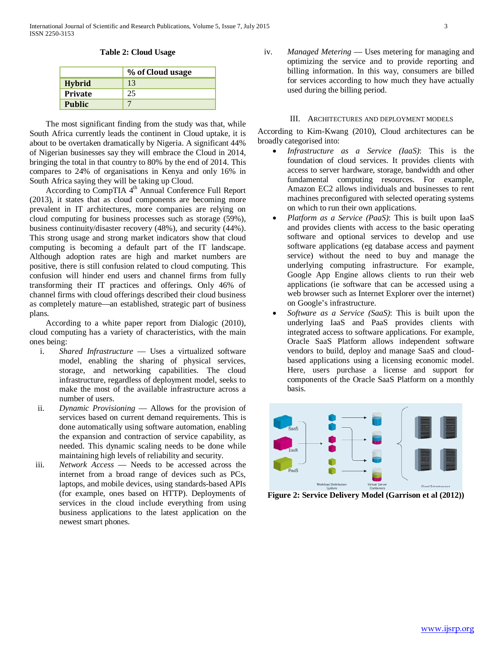**Table 2: Cloud Usage**

|                | % of Cloud usage |
|----------------|------------------|
| <b>Hybrid</b>  | 13               |
| <b>Private</b> | 25               |
| <b>Public</b>  |                  |

 The most significant finding from the study was that, while South Africa currently leads the continent in Cloud uptake, it is about to be overtaken dramatically by Nigeria. A significant 44% of Nigerian businesses say they will embrace the Cloud in 2014, bringing the total in that country to 80% by the end of 2014. This compares to 24% of organisations in Kenya and only 16% in South Africa saying they will be taking up Cloud.

According to CompTIA 4<sup>th</sup> Annual Conference Full Report (2013), it states that as cloud components are becoming more prevalent in IT architectures, more companies are relying on cloud computing for business processes such as storage (59%), business continuity/disaster recovery (48%), and security (44%). This strong usage and strong market indicators show that cloud computing is becoming a default part of the IT landscape. Although adoption rates are high and market numbers are positive, there is still confusion related to cloud computing. This confusion will hinder end users and channel firms from fully transforming their IT practices and offerings. Only 46% of channel firms with cloud offerings described their cloud business as completely mature—an established, strategic part of business plans.

 According to a white paper report from Dialogic (2010), cloud computing has a variety of characteristics, with the main ones being:

- i. *Shared Infrastructure* Uses a virtualized software model, enabling the sharing of physical services, storage, and networking capabilities. The cloud infrastructure, regardless of deployment model, seeks to make the most of the available infrastructure across a number of users.
- ii. *Dynamic Provisioning* Allows for the provision of services based on current demand requirements. This is done automatically using software automation, enabling the expansion and contraction of service capability, as needed. This dynamic scaling needs to be done while maintaining high levels of reliability and security.
- iii. *Network Access* Needs to be accessed across the internet from a broad range of devices such as PCs, laptops, and mobile devices, using standards-based APIs (for example, ones based on HTTP). Deployments of services in the cloud include everything from using business applications to the latest application on the newest smart phones.

iv. *Managed Metering* — Uses metering for managing and optimizing the service and to provide reporting and billing information. In this way, consumers are billed for services according to how much they have actually used during the billing period.

#### III. ARCHITECTURES AND DEPLOYMENT MODELS

According to Kim-Kwang (2010), Cloud architectures can be broadly categorised into:

- *Infrastructure as a Service (IaaS)*: This is the foundation of cloud services. It provides clients with access to server hardware, storage, bandwidth and other fundamental computing resources. For example, Amazon EC2 allows individuals and businesses to rent machines preconfigured with selected operating systems on which to run their own applications.
- *Platform as a Service (PaaS)*: This is built upon IaaS and provides clients with access to the basic operating software and optional services to develop and use software applications (eg database access and payment service) without the need to buy and manage the underlying computing infrastructure. For example, Google App Engine allows clients to run their web applications (ie software that can be accessed using a web browser such as Internet Explorer over the internet) on Google's infrastructure.
- *Software as a Service (SaaS)*: This is built upon the underlying IaaS and PaaS provides clients with integrated access to software applications. For example, Oracle SaaS Platform allows independent software vendors to build, deploy and manage SaaS and cloudbased applications using a licensing economic model. Here, users purchase a license and support for components of the Oracle SaaS Platform on a monthly basis.



**Figure 2: Service Delivery Model (Garrison et al (2012))**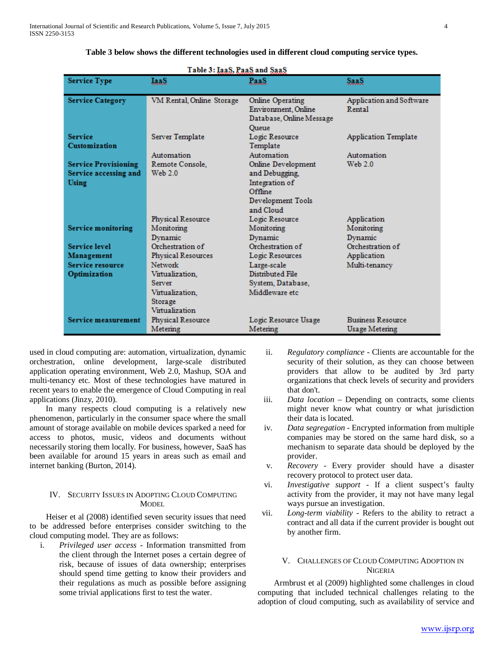| <b>Service Type</b><br>$_{\rm{Lax}}$<br>LaaS.<br>SaaS.<br>Application and Software<br><b>Service Category</b><br>VM Rental, Online Storage<br><b>Online Operating</b><br>Environment, Online<br>Rental<br>Database, Online Message<br><b>Oueue</b><br><b>Service</b><br>Server Template<br>Logic Resource<br><b>Application Template</b><br>Customization<br>Template<br>Automation<br>Automation<br>Automation<br>Online Development<br>Web $2.0$<br><b>Service Provisioning</b><br>Remote Console,<br>Service accessing and<br>Web $2.0$<br>and Debugging,<br>Integration of<br>Using<br><b>Offline</b><br>Development Tools<br>and Cloud |
|---------------------------------------------------------------------------------------------------------------------------------------------------------------------------------------------------------------------------------------------------------------------------------------------------------------------------------------------------------------------------------------------------------------------------------------------------------------------------------------------------------------------------------------------------------------------------------------------------------------------------------------------|
|                                                                                                                                                                                                                                                                                                                                                                                                                                                                                                                                                                                                                                             |
|                                                                                                                                                                                                                                                                                                                                                                                                                                                                                                                                                                                                                                             |
|                                                                                                                                                                                                                                                                                                                                                                                                                                                                                                                                                                                                                                             |
|                                                                                                                                                                                                                                                                                                                                                                                                                                                                                                                                                                                                                                             |
|                                                                                                                                                                                                                                                                                                                                                                                                                                                                                                                                                                                                                                             |
|                                                                                                                                                                                                                                                                                                                                                                                                                                                                                                                                                                                                                                             |
|                                                                                                                                                                                                                                                                                                                                                                                                                                                                                                                                                                                                                                             |
|                                                                                                                                                                                                                                                                                                                                                                                                                                                                                                                                                                                                                                             |
|                                                                                                                                                                                                                                                                                                                                                                                                                                                                                                                                                                                                                                             |
|                                                                                                                                                                                                                                                                                                                                                                                                                                                                                                                                                                                                                                             |
|                                                                                                                                                                                                                                                                                                                                                                                                                                                                                                                                                                                                                                             |
|                                                                                                                                                                                                                                                                                                                                                                                                                                                                                                                                                                                                                                             |
|                                                                                                                                                                                                                                                                                                                                                                                                                                                                                                                                                                                                                                             |
|                                                                                                                                                                                                                                                                                                                                                                                                                                                                                                                                                                                                                                             |
|                                                                                                                                                                                                                                                                                                                                                                                                                                                                                                                                                                                                                                             |
| Physical Resource<br>Logic Resource<br>Application                                                                                                                                                                                                                                                                                                                                                                                                                                                                                                                                                                                          |
| <b>Service monitoring</b><br>Monitoring<br>Monitoring<br>Monitoring                                                                                                                                                                                                                                                                                                                                                                                                                                                                                                                                                                         |
| Dynamic<br>Dynamic<br>Dynamic                                                                                                                                                                                                                                                                                                                                                                                                                                                                                                                                                                                                               |
| Orchestration of<br>Orchestration of<br>Orchestration of<br><b>Service level</b>                                                                                                                                                                                                                                                                                                                                                                                                                                                                                                                                                            |
| Physical Resources<br>Logic Resources<br>Management<br>Application                                                                                                                                                                                                                                                                                                                                                                                                                                                                                                                                                                          |
| Service resource<br><b>Network</b><br>Large-scale<br>Multi-tenancy                                                                                                                                                                                                                                                                                                                                                                                                                                                                                                                                                                          |
| Distributed File<br>Optimization<br>Virtualization.                                                                                                                                                                                                                                                                                                                                                                                                                                                                                                                                                                                         |
| System, Database,<br>Server                                                                                                                                                                                                                                                                                                                                                                                                                                                                                                                                                                                                                 |
| Middleware etc<br>Virtualization.                                                                                                                                                                                                                                                                                                                                                                                                                                                                                                                                                                                                           |
| Storage                                                                                                                                                                                                                                                                                                                                                                                                                                                                                                                                                                                                                                     |
| Virtualization                                                                                                                                                                                                                                                                                                                                                                                                                                                                                                                                                                                                                              |
| <b>Service measurement</b><br>Physical Resource<br>Logic Resource Usage<br><b>Business Resource</b>                                                                                                                                                                                                                                                                                                                                                                                                                                                                                                                                         |
| Metering<br>Metering<br><b>Usage Metering</b>                                                                                                                                                                                                                                                                                                                                                                                                                                                                                                                                                                                               |

## **Table 3 below shows the different technologies used in different cloud computing service types.**

 $T - 11 - 4 - T - 6 - T - 6 - 10 - 10$ 

used in cloud computing are: automation, virtualization, dynamic orchestration, online development, large-scale distributed application operating environment, Web 2.0, Mashup, SOA and multi-tenancy etc. Most of these technologies have matured in recent years to enable the emergence of Cloud Computing in real applications (Jinzy, 2010).

 In many respects cloud computing is a relatively new phenomenon, particularly in the consumer space where the small amount of storage available on mobile devices sparked a need for access to photos, music, videos and documents without necessarily storing them locally. For business, however, SaaS has been available for around 15 years in areas such as email and internet banking (Burton, 2014).

# IV. SECURITY ISSUES IN ADOPTING CLOUD COMPUTING MODEL.

 Heiser et al (2008) identified seven security issues that need to be addressed before enterprises consider switching to the cloud computing model. They are as follows:

i. *Privileged user access* - Information transmitted from the client through the Internet poses a certain degree of risk, because of issues of data ownership; enterprises should spend time getting to know their providers and their regulations as much as possible before assigning some trivial applications first to test the water.

- ii. *Regulatory compliance* Clients are accountable for the security of their solution, as they can choose between providers that allow to be audited by 3rd party organizations that check levels of security and providers that don't.
- iii. *Data location* Depending on contracts, some clients might never know what country or what jurisdiction their data is located.
- iv. *Data segregation* Encrypted information from multiple companies may be stored on the same hard disk, so a mechanism to separate data should be deployed by the provider.
- v. *Recovery* Every provider should have a disaster recovery protocol to protect user data.
- vi. *Investigative support* If a client suspect's faulty activity from the provider, it may not have many legal ways pursue an investigation.
- vii. *Long-term viability* Refers to the ability to retract a contract and all data if the current provider is bought out by another firm.

## V. CHALLENGES OF CLOUD COMPUTING ADOPTION IN **NIGERIA**

 Armbrust et al (2009) highlighted some challenges in cloud computing that included technical challenges relating to the adoption of cloud computing, such as availability of service and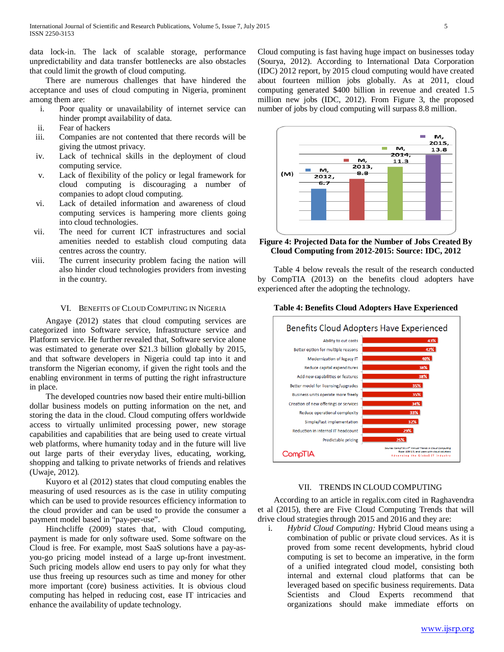data lock-in. The lack of scalable storage, performance unpredictability and data transfer bottlenecks are also obstacles that could limit the growth of cloud computing.

 There are numerous challenges that have hindered the acceptance and uses of cloud computing in Nigeria, prominent among them are:

- i. Poor quality or unavailability of internet service can hinder prompt availability of data.
- ii. Fear of hackers
- iii. Companies are not contented that there records will be giving the utmost privacy.
- iv. Lack of technical skills in the deployment of cloud computing service.
- v. Lack of flexibility of the policy or legal framework for cloud computing is discouraging a number of companies to adopt cloud computing.
- vi. Lack of detailed information and awareness of cloud computing services is hampering more clients going into cloud technologies.
- vii. The need for current ICT infrastructures and social amenities needed to establish cloud computing data centres across the country.
- viii. The current insecurity problem facing the nation will also hinder cloud technologies providers from investing in the country.

### VI. BENEFITS OF CLOUD COMPUTING IN NIGERIA

 Angaye (2012) states that cloud computing services are categorized into Software service, Infrastructure service and Platform service. He further revealed that, Software service alone was estimated to generate over \$21.3 billion globally by 2015, and that software developers in Nigeria could tap into it and transform the Nigerian economy, if given the right tools and the enabling environment in terms of putting the right infrastructure in place.

 The developed countries now based their entire multi-billion dollar business models on putting information on the net, and storing the data in the cloud. Cloud computing offers worldwide access to virtually unlimited processing power, new storage capabilities and capabilities that are being used to create virtual web platforms, where humanity today and in the future will live out large parts of their everyday lives, educating, working, shopping and talking to private networks of friends and relatives (Uwaje, 2012).

 Kuyoro et al (2012) states that cloud computing enables the measuring of used resources as is the case in utility computing which can be used to provide resources efficiency information to the cloud provider and can be used to provide the consumer a payment model based in "pay-per-use".

 Hinchcliffe (2009) states that, with Cloud computing, payment is made for only software used. Some software on the Cloud is free. For example, most SaaS solutions have a pay-asyou-go pricing model instead of a large up-front investment. Such pricing models allow end users to pay only for what they use thus freeing up resources such as time and money for other more important (core) business activities. It is obvious cloud computing has helped in reducing cost, ease IT intricacies and enhance the availability of update technology.

Cloud computing is fast having huge impact on businesses today (Sourya, 2012). According to International Data Corporation (IDC) 2012 report, by 2015 cloud computing would have created about fourteen million jobs globally. As at 2011, cloud computing generated \$400 billion in revenue and created 1.5 million new jobs (IDC, 2012). From Figure 3, the proposed number of jobs by cloud computing will surpass 8.8 million.



## **Figure 4: Projected Data for the Number of Jobs Created By Cloud Computing from 2012-2015: Source: IDC, 2012**

 Table 4 below reveals the result of the research conducted by CompTIA (2013) on the benefits cloud adopters have experienced after the adopting the technology.



#### **Table 4: Benefits Cloud Adopters Have Experienced**

## VII. TRENDS IN CLOUD COMPUTING

 According to an article in regalix.com cited in Raghavendra et al (2015), there are Five Cloud Computing Trends that will drive cloud strategies through 2015 and 2016 and they are:

i. *Hybrid Cloud Computing:* Hybrid Cloud means using a combination of public or private cloud services. As it is proved from some recent developments, hybrid cloud computing is set to become an imperative, in the form of a unified integrated cloud model, consisting both internal and external cloud platforms that can be leveraged based on specific business requirements. Data Scientists and Cloud Experts recommend that organizations should make immediate efforts on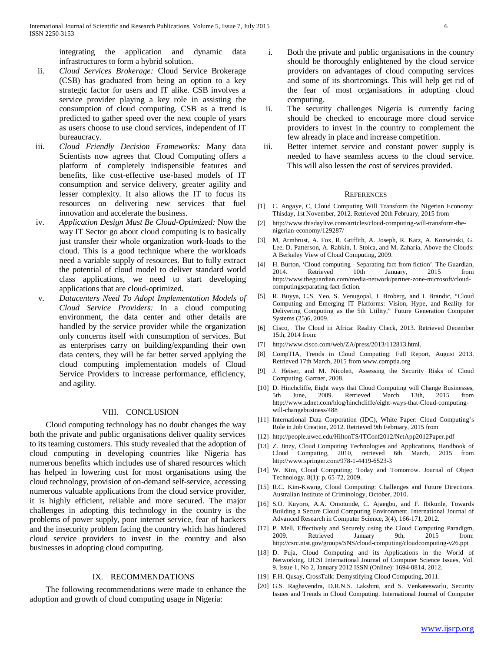integrating the application and dynamic data infrastructures to form a hybrid solution.

- ii. *Cloud Services Brokerage:* Cloud Service Brokerage (CSB) has graduated from being an option to a key strategic factor for users and IT alike. CSB involves a service provider playing a key role in assisting the consumption of cloud computing. CSB as a trend is predicted to gather speed over the next couple of years as users choose to use cloud services, independent of IT bureaucracy.
- iii. *Cloud Friendly Decision Frameworks:* Many data Scientists now agrees that Cloud Computing offers a platform of completely indispensible features and benefits, like cost-effective use-based models of IT consumption and service delivery, greater agility and lesser complexity. It also allows the IT to focus its resources on delivering new services that fuel innovation and accelerate the business.
- iv. *Application Design Must Be Cloud-Optimized:* Now the way IT Sector go about cloud computing is to basically just transfer their whole organization work-loads to the cloud. This is a good technique where the workloads need a variable supply of resources. But to fully extract the potential of cloud model to deliver standard world class applications, we need to start developing applications that are cloud-optimized.
- v. *Datacenters Need To Adopt Implementation Models of Cloud Service Providers:* In a cloud computing environment, the data center and other details are handled by the service provider while the organization only concerns itself with consumption of services. But as enterprises carry on building/expanding their own data centers, they will be far better served applying the cloud computing implementation models of Cloud Service Providers to increase performance, efficiency, and agility.

#### VIII. CONCLUSION

 Cloud computing technology has no doubt changes the way both the private and public organisations deliver quality services to its teaming customers. This study revealed that the adoption of cloud computing in developing countries like Nigeria has numerous benefits which includes use of shared resources which has helped in lowering cost for most organisations using the cloud technology, provision of on-demand self-service, accessing numerous valuable applications from the cloud service provider, it is highly efficient, reliable and more secured. The major challenges in adopting this technology in the country is the problems of power supply, poor internet service, fear of hackers and the insecurity problem facing the country which has hindered cloud service providers to invest in the country and also businesses in adopting cloud computing.

#### IX. RECOMMENDATIONS

 The following recommendations were made to enhance the adoption and growth of cloud computing usage in Nigeria:

- i. Both the private and public organisations in the country should be thoroughly enlightened by the cloud service providers on advantages of cloud computing services and some of its shortcomings. This will help get rid of the fear of most organisations in adopting cloud computing.
- ii. The security challenges Nigeria is currently facing should be checked to encourage more cloud service providers to invest in the country to complement the few already in place and increase competition.
- iii. Better internet service and constant power supply is needed to have seamless access to the cloud service. This will also lessen the cost of services provided.

#### **REFERENCES**

- [1] C. Angaye, C, Cloud Computing Will Transform the Nigerian Economy: Thisday, 1st November, 2012. Retrieved 20th February, 2015 from
- [2] http://www.thisdaylive.com/articles/cloud-computing-will-transform-thenigerian-economy/129287/
- [3] M, Armbrust, A. Fox, R. Griffith, A. Joseph, R. Katz, A. Konwinski, G. Lee, D. Patterson, A. Rabkin, I. Stoica, and M. Zaharia, Above the Clouds: A Berkeley View of Cloud Computing, 2009.
- [4] H. Burton, 'Cloud computing Separating fact from fiction'. The Guardian, 2014. Retrieved 10th January, 2015 from http://www.theguardian.com/media-network/partner-zone-microsoft/cloudcomputingseparating-fact-fiction.
- [5] R. Buyya, C.S. Yeo, S. Venugopal, J. Broberg, and I. Brandic, "Cloud Computing and Emerging IT Platforms: Vision, Hype, and Reality for Delivering Computing as the 5th Utility," Future Generation Computer Systems (25)6, 2009.
- [6] Cisco, The Cloud in Africa: Reality Check, 2013. Retrieved December 15th, 2014 from:
- [7] http://www.cisco.com/web/ZA/press/2013/112813.html.
- [8] CompTIA, Trends in Cloud Computing: Full Report, August 2013. Retrieved 17th March, 2015 from www.comptia.org
- [9] J. Heiser, and M. Nicolett, Assessing the Security Risks of Cloud Computing. Gartner, 2008.
- [10] D. Hinchcliffe, Eight ways that Cloud Computing will Change Businesses, 5th June, 2009. Retrieved March 13th, 2015 from http://www.zdnet.com/blog/hinchcliffe/eight-ways-that-Cloud-computingwill-changebusiness/488
- [11] International Data Corporation (IDC), White Paper: Cloud Computing's Role in Job Creation, 2012. Retrieved 9th February, 2015 from
- [12] http://people.uwec.edu/HiltonTS/ITConf2012/NetApp2012Paper.pdf
- [13] Z. Jinzy, Cloud Computing Technologies and Applications, Handbook of Cloud Computing, 2010, retrieved 6th March, 2015 from http://www.springer.com/978-1-4419-6523-3
- [14] W. Kim, Cloud Computing: Today and Tomorrow. Journal of Object Technology. 8(1): p. 65-72, 2009.
- [15] R.C. Kim-Kwang, Cloud Computing: Challenges and Future Directions. Australian Institute of Criminology, October, 2010.
- [16] S.O. Kuyoro, A.A. Omotunde, C. Ajaegbu, and F. Ibikunle, Towards Building a Secure Cloud Computing Environment. International Journal of Advanced Research in Computer Science, 3(4), 166-171, 2012.
- [17] P. Mell, Effectively and Securely using the Cloud Computing Paradigm, 2009. Retrieved January 9th, 2015 from: http://csrc.nist.gov/groups/SNS/cloud-computing/cloudcomputing-v26.ppt
- [18] D. Puja, Cloud Computing and its Applications in the World of Networking. IJCSI International Journal of Computer Science Issues, Vol. 9, Issue 1, No 2, January 2012 ISSN (Online): 1694-0814, 2012.
- [19] F.H. Qusay, CrossTalk: Demystifying Cloud Computing, 2011.
- [20] G.S. Raghavendra, D.R.N.S. Lakshmi, and S. Venkateswarlu, Security Issues and Trends in Cloud Computing. International Journal of Computer